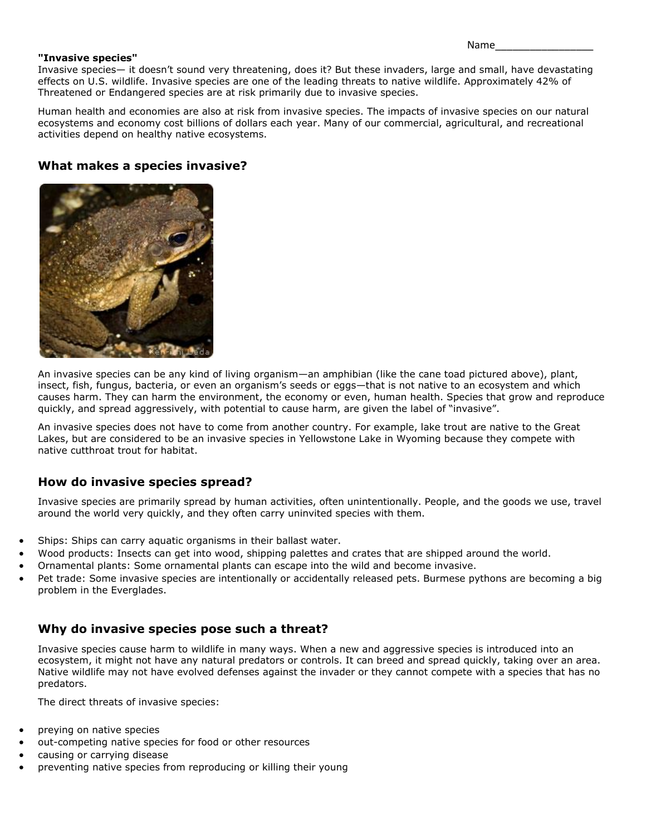Name\_\_\_\_\_\_\_\_\_\_\_\_\_\_\_\_\_

#### **"Invasive species"**

Invasive species— it doesn't sound very threatening, does it? But these invaders, large and small, have devastating effects on U.S. wildlife. Invasive species are one of the leading threats to native wildlife. Approximately 42% of Threatened or [Endangered species](http://www.nwf.org/What-We-Do/Protect-Wildlife/Endangered-Species.aspx) are at risk primarily due to invasive species.

Human health and economies are also at risk from invasive species. The impacts of invasive species on our natural ecosystems and economy cost billions of dollars each year. Many of our commercial, agricultural, and recreational activities depend on healthy native ecosystems.

# **What makes a species invasive?**



An invasive species can be any kind of living organism—an amphibian (like the cane toad pictured above), plant, insect, fish, fungus, bacteria, or even an organism's seeds or eggs—that is not native to an ecosystem and which causes harm. They can harm the environment, the economy or even, human health. Species that grow and reproduce quickly, and spread aggressively, with potential to cause harm, are given the label of "invasive".

An invasive species does not have to come from another country. For example, lake trout are native to the Great Lakes, but are considered to be an invasive species in Yellowstone Lake in Wyoming because they compete with native cutthroat trout for habitat.

#### **How do invasive species spread?**

Invasive species are primarily spread by human activities, often unintentionally. People, and the goods we use, travel around the world very quickly, and they often carry uninvited species with them.

- Ships: Ships can carry aquatic organisms in their ballast water.
- Wood products: Insects can get into wood, shipping palettes and crates that are shipped around the world.
- Ornamental plants: Some ornamental plants can escape into the wild and become invasive.
- Pet trade: Some invasive species are intentionally or accidentally released pets. Burmese pythons are becoming a big problem in the Everglades.

# **Why do invasive species pose such a threat?**

Invasive species cause harm to wildlife in many ways. When a new and aggressive species is introduced into an ecosystem, it might not have any natural predators or controls. It can breed and spread quickly, taking over an area. Native wildlife may not have evolved defenses against the invader or they cannot compete with a species that has no predators.

The direct threats of invasive species:

- preying on native species
- out-competing native species for food or other resources
- causing or carrying disease
- preventing native species from reproducing or killing their young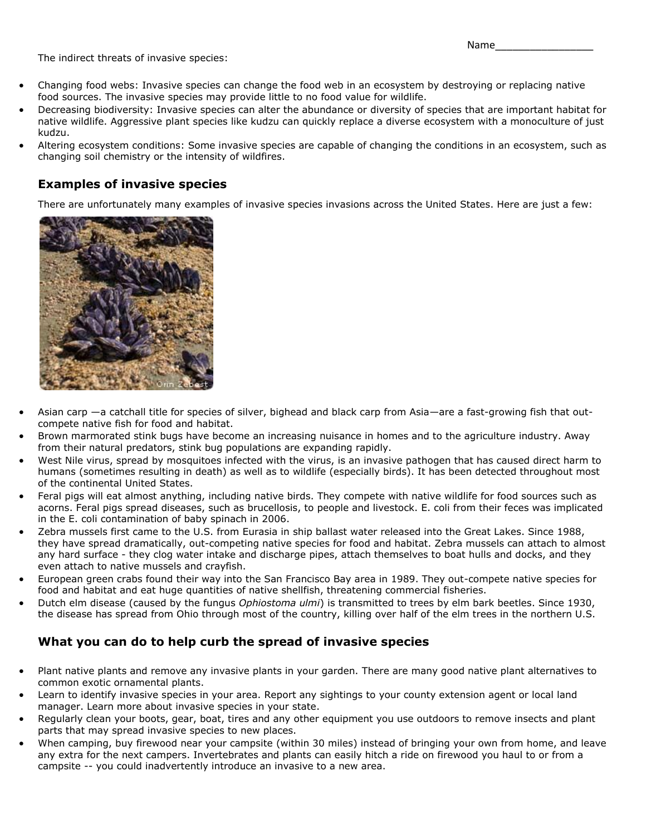Name\_\_\_\_\_\_\_\_\_\_\_\_\_\_\_\_\_

The indirect threats of invasive species:

- Changing food webs: Invasive species can change the [food web](http://www.nwf.org/Wildlife/Wildlife-Conservation/Food-Webs.aspx) in an ecosystem by destroying or replacing native food sources. The invasive species may provide little to no food value for wildlife.
- Decreasing biodiversity: Invasive species can alter the abundance or [diversity of species](http://www.nwf.org/Wildlife/Wildlife-Conservation/Biodiversity.aspx) that are important habitat for native wildlife. Aggressive plant species like kudzu can quickly replace a diverse ecosystem with a monoculture of just kudzu.
- Altering ecosystem conditions: Some invasive species are capable of changing the conditions in an ecosystem, such as changing soil chemistry or the intensity of wildfires.

### **Examples of invasive species**

There are unfortunately many examples of invasive species invasions across the United States. Here are just a few:



- [Asian carp](http://www.nwf.org/Wildlife/Threats-to-Wildlife/Invasive-Species/Asian-Carp.aspx) —a catchall title for species of silver, bighead and black carp from Asia—are a fast-growing fish that outcompete native fish for food and habitat.
- [Brown marmorated stink bugs](http://www.nwf.org/Wildlife/Threats-to-Wildlife/Invasive-Species/Stink-Bugs.aspx) have become an increasing nuisance in homes and to the agriculture industry. Away from their natural predators, stink bug populations are expanding rapidly.
- West Nile virus, spread by mosquitoes infected with the virus, is an invasive pathogen that has caused direct harm to humans (sometimes resulting in death) as well as to wildlife (especially birds). It has been detected throughout most of the continental United States.
- Feral pigs will eat almost anything, including native birds. They compete with native wildlife for food sources such as acorns. Feral pigs spread diseases, such as brucellosis, to people and livestock. E. coli from their feces was implicated in the E. coli contamination of baby spinach in 2006.
- Zebra mussels first came to the U.S. from Eurasia in ship ballast water released into the Great Lakes. Since 1988, they have spread dramatically, out-competing native species for food and habitat. Zebra mussels can attach to almost any hard surface - they clog water intake and discharge pipes, attach themselves to boat hulls and docks, and they even attach to native mussels and crayfish.
- European green crabs found their way into the San Francisco Bay area in 1989. They out-compete native species for food and habitat and eat huge quantities of native shellfish, threatening commercial fisheries.
- Dutch elm disease (caused by the fungus *Ophiostoma ulmi*) is transmitted to trees by elm bark beetles. Since 1930, the disease has spread from Ohio through most of the country, killing over half of the elm trees in the northern U.S.

# **What you can do to help curb the spread of invasive species**

- Plant native plants and remove any invasive plants in your garden. There are many good native plant alternatives to common exotic ornamental plants.
- Learn to identify invasive species in your area. Report any sightings to your county extension agent or local land manager. Learn more about [invasive species in your state.](http://www.nwf.org/What-We-Do/Protect-Wildlife/Invasive-Species.aspx)
- Regularly clean your boots, gear, boat, tires and any other equipment you use outdoors to remove insects and plant parts that may spread invasive species to new places.
- When camping, buy firewood near your campsite (within 30 miles) instead of bringing your own from home, and leave any extra for the next campers. Invertebrates and plants can easily hitch a ride on firewood you haul to or from a campsite -- you could inadvertently introduce an invasive to a new area.